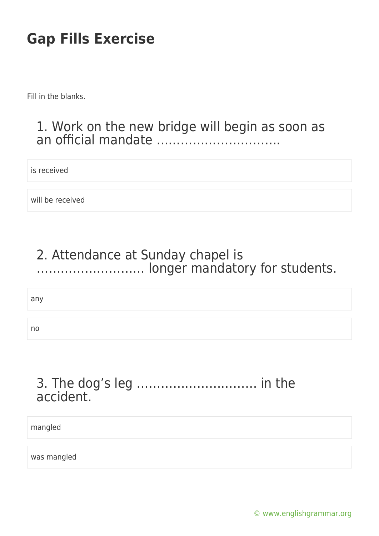Fill in the blanks.

#### 1. Work on the new bridge will begin as soon as an official mandate ………………………….

is received

will be received

### 2. Attendance at Sunday chapel is ……………………… longer mandatory for students.

any

no

### 3. The dog's leg ………………………… in the accident.

mangled

was mangled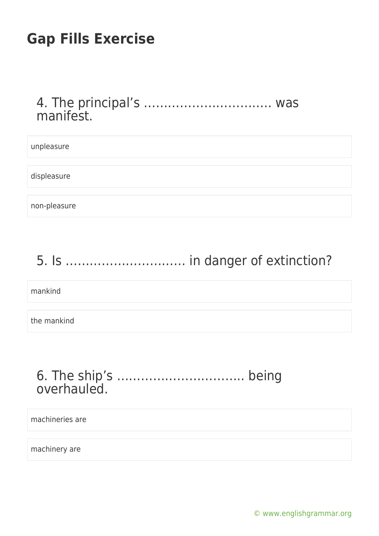#### 4. The principal's ………………………….. was manifest.

| unpleasure   |  |
|--------------|--|
|              |  |
| displeasure  |  |
|              |  |
| non-pleasure |  |

# 5. Is ………………………… in danger of extinction?

mankind

the mankind

### 6. The ship's ………………………….. being overhauled.

machineries are

machinery are

[© www.englishgrammar.org](https://www.englishgrammar.org/)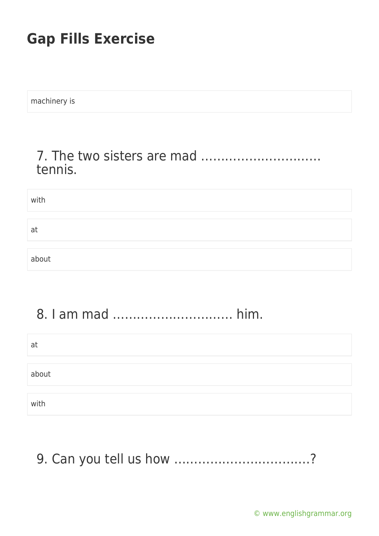| machinery is |  |  |  |
|--------------|--|--|--|
|              |  |  |  |

### 7. The two sisters are mad ………………………… tennis.

| with  |  |
|-------|--|
|       |  |
| at    |  |
|       |  |
| about |  |

### 8. I am mad ………………………… him.

| at    |  |  |
|-------|--|--|
|       |  |  |
| about |  |  |
|       |  |  |
| with  |  |  |

## 9. Can you tell us how …………………………….?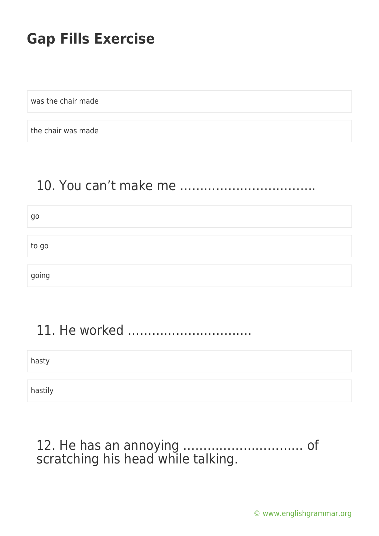was the chair made

the chair was made

### 10. You can't make me …………………………….

| go    |  |  |  |
|-------|--|--|--|
|       |  |  |  |
| to go |  |  |  |
|       |  |  |  |
| going |  |  |  |

## 11. He worked ………………………….

hasty

hastily

### 12. He has an annoying ………………………… of scratching his head while talking.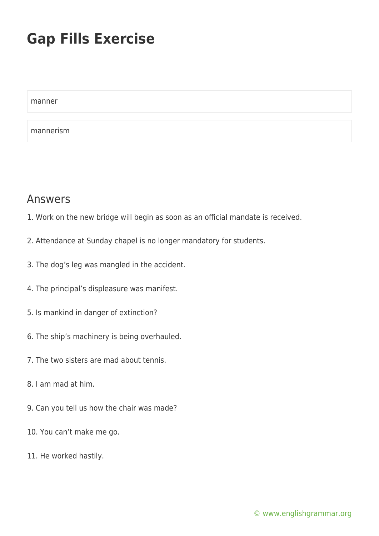manner mannerism

#### Answers

- 1. Work on the new bridge will begin as soon as an official mandate is received.
- 2. Attendance at Sunday chapel is no longer mandatory for students.
- 3. The dog's leg was mangled in the accident.
- 4. The principal's displeasure was manifest.
- 5. Is mankind in danger of extinction?
- 6. The ship's machinery is being overhauled.
- 7. The two sisters are mad about tennis.
- 8. I am mad at him.
- 9. Can you tell us how the chair was made?
- 10. You can't make me go.
- 11. He worked hastily.